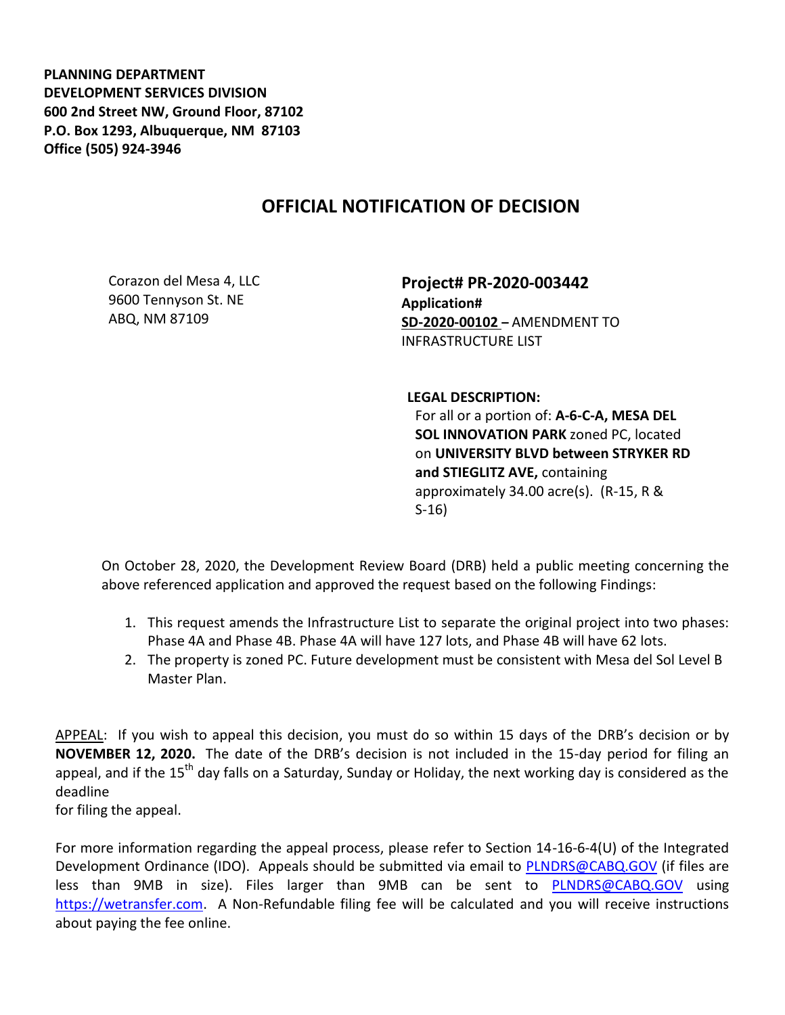**PLANNING DEPARTMENT DEVELOPMENT SERVICES DIVISION 600 2nd Street NW, Ground Floor, 87102 P.O. Box 1293, Albuquerque, NM 87103 Office (505) 924-3946** 

## **OFFICIAL NOTIFICATION OF DECISION**

Corazon del Mesa 4, LLC 9600 Tennyson St. NE ABQ, NM 87109

**Project# PR-2020-003442 Application# SD-2020-00102 –** AMENDMENT TO INFRASTRUCTURE LIST

**LEGAL DESCRIPTION:**

For all or a portion of: **A-6-C-A, MESA DEL SOL INNOVATION PARK** zoned PC, located on **UNIVERSITY BLVD between STRYKER RD and STIEGLITZ AVE,** containing approximately 34.00 acre(s). (R-15, R & S-16)

On October 28, 2020, the Development Review Board (DRB) held a public meeting concerning the above referenced application and approved the request based on the following Findings:

- 1. This request amends the Infrastructure List to separate the original project into two phases: Phase 4A and Phase 4B. Phase 4A will have 127 lots, and Phase 4B will have 62 lots.
- 2. The property is zoned PC. Future development must be consistent with Mesa del Sol Level B Master Plan.

APPEAL: If you wish to appeal this decision, you must do so within 15 days of the DRB's decision or by **NOVEMBER 12, 2020.** The date of the DRB's decision is not included in the 15-day period for filing an appeal, and if the 15<sup>th</sup> day falls on a Saturday, Sunday or Holiday, the next working day is considered as the deadline

for filing the appeal.

For more information regarding the appeal process, please refer to Section 14-16-6-4(U) of the Integrated Development Ordinance (IDO). Appeals should be submitted via email to **PLNDRS@CABQ.GOV** (if files are less than 9MB in size). Files larger than 9MB can be sent to [PLNDRS@CABQ.GOV](mailto:PLNDRS@CABQ.GOV) using [https://wetransfer.com.](https://wetransfer.com/) A Non-Refundable filing fee will be calculated and you will receive instructions about paying the fee online.